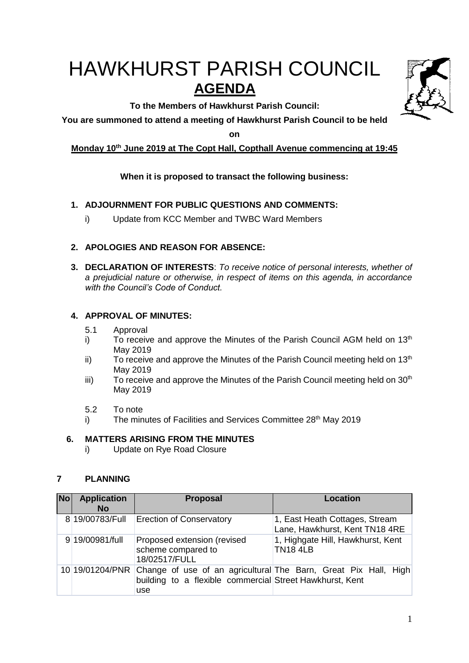# HAWKHURST PARISH COUNCIL **AGENDA**

**To the Members of Hawkhurst Parish Council:**

**You are summoned to attend a meeting of Hawkhurst Parish Council to be held** 

**on**

# **Monday 10 th June 2019 at The Copt Hall, Copthall Avenue commencing at 19:45**

# **When it is proposed to transact the following business:**

# **1. ADJOURNMENT FOR PUBLIC QUESTIONS AND COMMENTS:**

i) Update from KCC Member and TWBC Ward Members

# **2. APOLOGIES AND REASON FOR ABSENCE:**

**3. DECLARATION OF INTERESTS**: *To receive notice of personal interests, whether of a prejudicial nature or otherwise, in respect of items on this agenda, in accordance with the Council's Code of Conduct.*

# **4. APPROVAL OF MINUTES:**

- 5.1 Approval
- i) To receive and approve the Minutes of the Parish Council AGM held on  $13<sup>th</sup>$ May 2019
- ii) To receive and approve the Minutes of the Parish Council meeting held on  $13<sup>th</sup>$ May 2019
- iii) To receive and approve the Minutes of the Parish Council meeting held on  $30<sup>th</sup>$ May 2019
- 5.2 To note
- i) The minutes of Facilities and Services Committee 28<sup>th</sup> May 2019

# **6. MATTERS ARISING FROM THE MINUTES**

i) Update on Rye Road Closure

# **7 PLANNING**

| <b>No</b> | <b>Application</b><br><b>No</b> | <b>Proposal</b>                                                    | Location                                                         |
|-----------|---------------------------------|--------------------------------------------------------------------|------------------------------------------------------------------|
|           | 8 19/00783/Full                 | <b>Erection of Conservatory</b>                                    | 1, East Heath Cottages, Stream<br>Lane, Hawkhurst, Kent TN18 4RE |
|           | 9 19/00981/full                 | Proposed extension (revised<br>scheme compared to<br>18/02517/FULL | 1, Highgate Hill, Hawkhurst, Kent<br><b>TN18 4LB</b>             |
|           | 10 19/01204/PNR                 | building to a flexible commercial Street Hawkhurst, Kent<br>use    | Change of use of an agricultural The Barn, Great Pix Hall, High  |

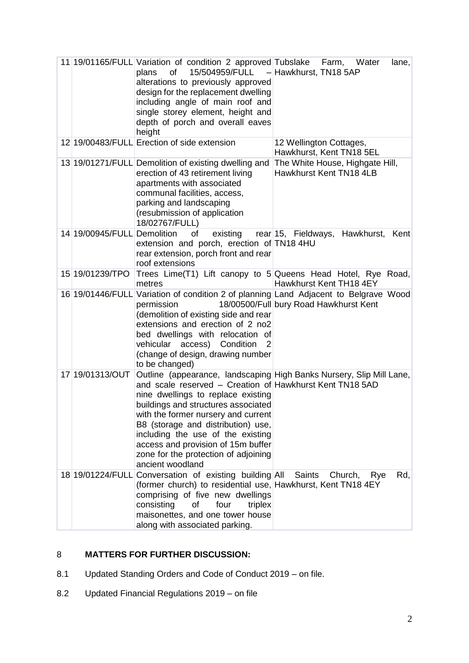|                             | 11 19/01165/FULL Variation of condition 2 approved Tubslake Farm, Water<br>plans<br>of<br>alterations to previously approved<br>design for the replacement dwelling<br>including angle of main roof and<br>single storey element, height and<br>depth of porch and overall eaves<br>height                                                                | lane,<br>15/504959/FULL - Hawkhurst, TN18 5AP                                                                                  |
|-----------------------------|-----------------------------------------------------------------------------------------------------------------------------------------------------------------------------------------------------------------------------------------------------------------------------------------------------------------------------------------------------------|--------------------------------------------------------------------------------------------------------------------------------|
|                             | 12 19/00483/FULL Erection of side extension                                                                                                                                                                                                                                                                                                               | 12 Wellington Cottages,<br>Hawkhurst, Kent TN18 5EL                                                                            |
|                             | 13 19/01271/FULL Demolition of existing dwelling and<br>erection of 43 retirement living<br>apartments with associated<br>communal facilities, access,<br>parking and landscaping<br>(resubmission of application<br>18/02767/FULL)                                                                                                                       | The White House, Highgate Hill,<br>Hawkhurst Kent TN18 4LB                                                                     |
| 14 19/00945/FULL Demolition | of<br>extension and porch, erection of TN18 4HU<br>rear extension, porch front and rear<br>roof extensions                                                                                                                                                                                                                                                | existing rear 15, Fieldways, Hawkhurst, Kent                                                                                   |
| 15 19/01239/TPO             | metres                                                                                                                                                                                                                                                                                                                                                    | Trees Lime(T1) Lift canopy to 5 Queens Head Hotel, Rye Road,<br>Hawkhurst Kent TH18 4EY                                        |
|                             | permission<br>(demolition of existing side and rear<br>extensions and erection of 2 no2<br>bed dwellings with relocation of<br>vehicular access)<br>Condition<br>$\overline{2}$<br>(change of design, drawing number<br>to be changed)                                                                                                                    | 16 19/01446/FULL Variation of condition 2 of planning Land Adjacent to Belgrave Wood<br>18/00500/Full bury Road Hawkhurst Kent |
| 17 19/01313/OUT             | and scale reserved – Creation of Hawkhurst Kent TN18 5AD<br>nine dwellings to replace existing<br>buildings and structures associated<br>with the former nursery and current<br>B8 (storage and distribution) use,<br>including the use of the existing<br>access and provision of 15m buffer<br>zone for the protection of adjoining<br>ancient woodland | Outline (appearance, landscaping High Banks Nursery, Slip Mill Lane,                                                           |
|                             | 18 19/01224/FULL Conversation of existing building All<br>(former church) to residential use, Hawkhurst, Kent TN18 4EY<br>comprising of five new dwellings<br>consisting<br>four<br>triplex<br>οf<br>maisonettes, and one tower house<br>along with associated parking.                                                                                   | Rd,<br>Saints<br>Church,<br>Rye                                                                                                |

# 8 **MATTERS FOR FURTHER DISCUSSION:**

- 8.1 Updated Standing Orders and Code of Conduct 2019 on file.
- 8.2 Updated Financial Regulations 2019 on file